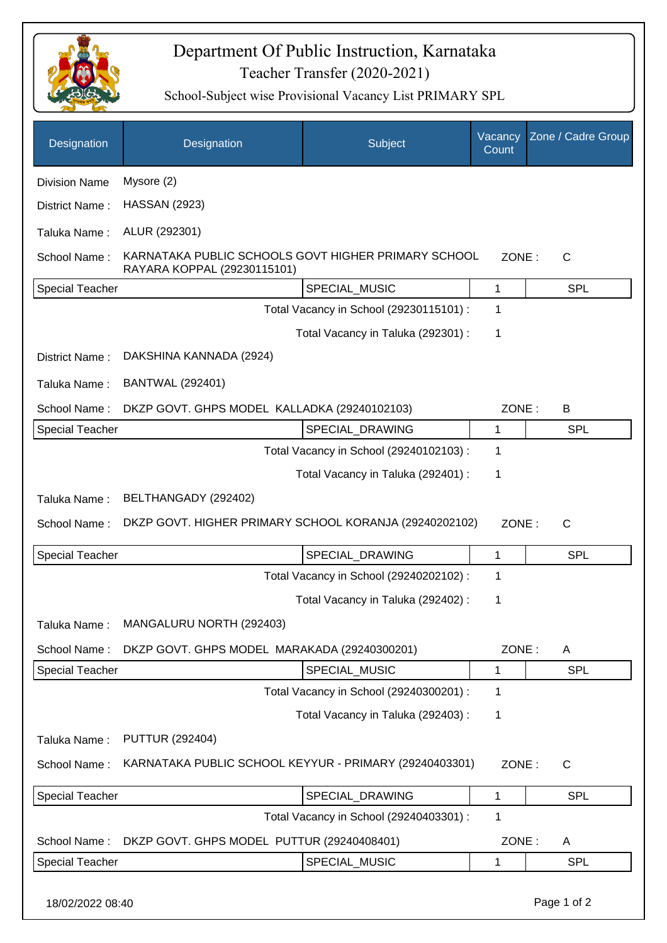

## Teacher Transfer (2020-2021) Department Of Public Instruction, Karnataka

School-Subject wise Provisional Vacancy List PRIMARY SPL

| Designation            | Designation                                                                                                 | Subject                                 | Vacancy<br>Count | Zone / Cadre Group |  |
|------------------------|-------------------------------------------------------------------------------------------------------------|-----------------------------------------|------------------|--------------------|--|
| <b>Division Name</b>   | Mysore (2)                                                                                                  |                                         |                  |                    |  |
| District Name:         | <b>HASSAN (2923)</b>                                                                                        |                                         |                  |                    |  |
| Taluka Name:           | ALUR (292301)                                                                                               |                                         |                  |                    |  |
| School Name:           | KARNATAKA PUBLIC SCHOOLS GOVT HIGHER PRIMARY SCHOOL<br>ZONE:<br>$\mathsf{C}$<br>RAYARA KOPPAL (29230115101) |                                         |                  |                    |  |
| <b>Special Teacher</b> |                                                                                                             | SPECIAL_MUSIC                           | 1                | <b>SPL</b>         |  |
|                        | Total Vacancy in School (29230115101) :<br>1                                                                |                                         |                  |                    |  |
|                        |                                                                                                             | Total Vacancy in Taluka (292301) :      | 1                |                    |  |
| District Name:         | DAKSHINA KANNADA (2924)                                                                                     |                                         |                  |                    |  |
| Taluka Name:           | <b>BANTWAL (292401)</b>                                                                                     |                                         |                  |                    |  |
| School Name:           | DKZP GOVT. GHPS MODEL KALLADKA (29240102103)<br>ZONE:<br>B                                                  |                                         |                  |                    |  |
| Special Teacher        |                                                                                                             | SPECIAL_DRAWING                         | 1                | <b>SPL</b>         |  |
|                        |                                                                                                             | Total Vacancy in School (29240102103) : | 1                |                    |  |
|                        |                                                                                                             | Total Vacancy in Taluka (292401) :      | 1                |                    |  |
| Taluka Name:           | BELTHANGADY (292402)                                                                                        |                                         |                  |                    |  |
| School Name:           | DKZP GOVT. HIGHER PRIMARY SCHOOL KORANJA (29240202102)<br>ZONE:<br>$\mathsf{C}$                             |                                         |                  |                    |  |
| <b>Special Teacher</b> |                                                                                                             | SPECIAL_DRAWING                         | 1                | <b>SPL</b>         |  |
|                        |                                                                                                             | Total Vacancy in School (29240202102) : | 1                |                    |  |
|                        |                                                                                                             | Total Vacancy in Taluka (292402) :      | 1                |                    |  |
| Taluka Name:           | MANGALURU NORTH (292403)                                                                                    |                                         |                  |                    |  |
| School Name:           | DKZP GOVT. GHPS MODEL MARAKADA (29240300201)                                                                |                                         | ZONE:            | Α                  |  |
| <b>Special Teacher</b> |                                                                                                             | SPECIAL_MUSIC                           | 1                | <b>SPL</b>         |  |
|                        |                                                                                                             | Total Vacancy in School (29240300201) : | 1                |                    |  |
|                        |                                                                                                             | Total Vacancy in Taluka (292403) :      | 1                |                    |  |
| Taluka Name:           | <b>PUTTUR (292404)</b>                                                                                      |                                         |                  |                    |  |
| School Name:           | KARNATAKA PUBLIC SCHOOL KEYYUR - PRIMARY (29240403301)                                                      |                                         | ZONE:            | $\mathsf{C}$       |  |
| <b>Special Teacher</b> |                                                                                                             | SPECIAL_DRAWING                         | 1                | SPL                |  |
|                        |                                                                                                             | Total Vacancy in School (29240403301) : | 1                |                    |  |
| School Name:           | DKZP GOVT. GHPS MODEL PUTTUR (29240408401)                                                                  |                                         | ZONE:            | A                  |  |
| <b>Special Teacher</b> |                                                                                                             | SPECIAL_MUSIC                           | 1                | <b>SPL</b>         |  |
|                        |                                                                                                             |                                         |                  |                    |  |